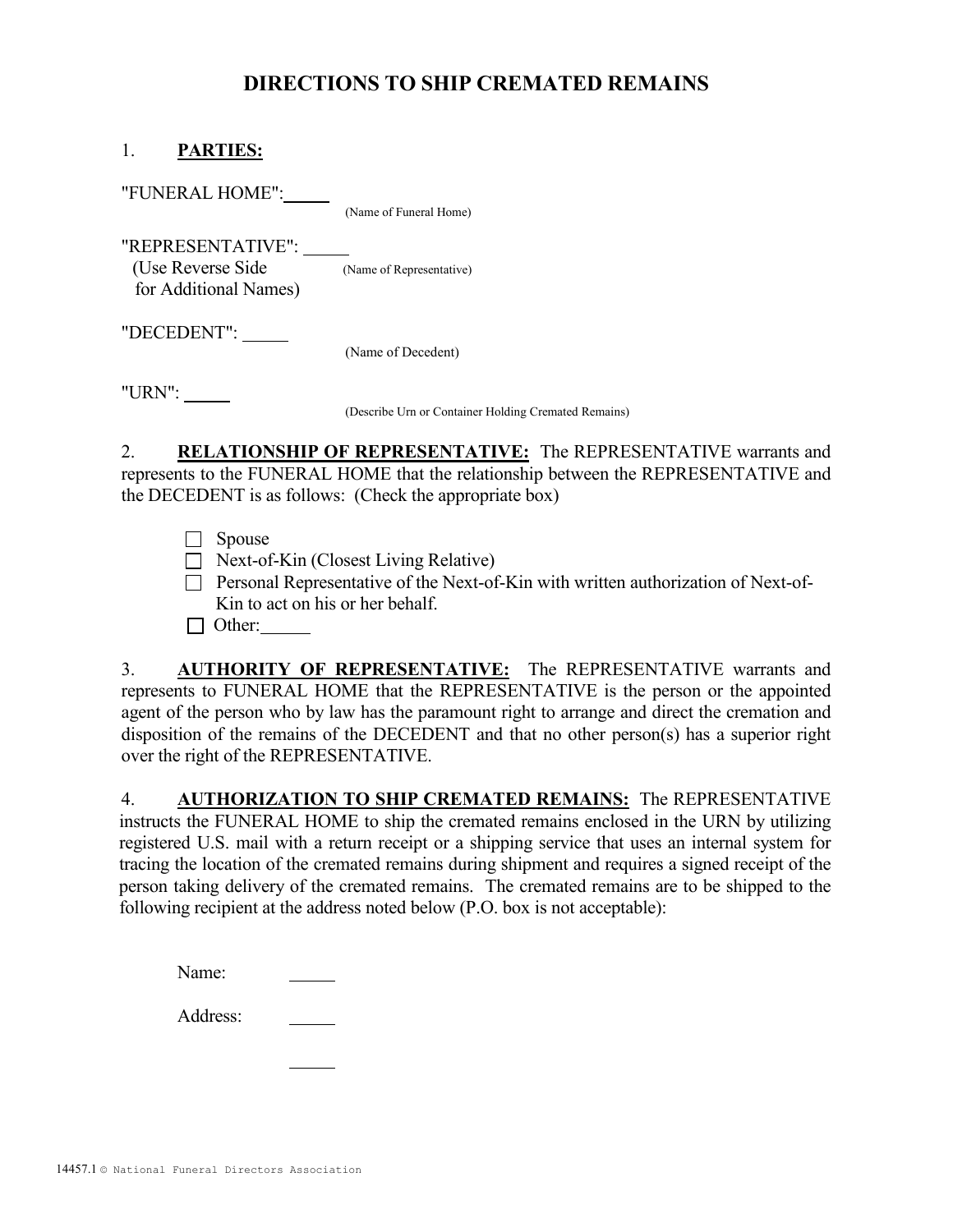## DIRECTIONS TO SHIP CREMATED REMAINS

## 1. PARTIES:

 "FUNERAL HOME": (Name of Funeral Home) "REPRESENTATIVE": (Use Reverse Side (Name of Representative) for Additional Names) "DECEDENT": (Name of Decedent)

"URN":

(Describe Urn or Container Holding Cremated Remains)

2. RELATIONSHIP OF REPRESENTATIVE: The REPRESENTATIVE warrants and represents to the FUNERAL HOME that the relationship between the REPRESENTATIVE and the DECEDENT is as follows: (Check the appropriate box)

- □ Spouse
- □ Next-of-Kin (Closest Living Relative)
- □ Personal Representative of the Next-of-Kin with written authorization of Next-of-Kin to act on his or her behalf.

 $\Box$  Other:

3. **AUTHORITY OF REPRESENTATIVE:** The REPRESENTATIVE warrants and represents to FUNERAL HOME that the REPRESENTATIVE is the person or the appointed agent of the person who by law has the paramount right to arrange and direct the cremation and disposition of the remains of the DECEDENT and that no other person(s) has a superior right over the right of the REPRESENTATIVE.

4. AUTHORIZATION TO SHIP CREMATED REMAINS: The REPRESENTATIVE instructs the FUNERAL HOME to ship the cremated remains enclosed in the URN by utilizing registered U.S. mail with a return receipt or a shipping service that uses an internal system for tracing the location of the cremated remains during shipment and requires a signed receipt of the person taking delivery of the cremated remains. The cremated remains are to be shipped to the following recipient at the address noted below (P.O. box is not acceptable):

| Name: |
|-------|
|       |

Address: